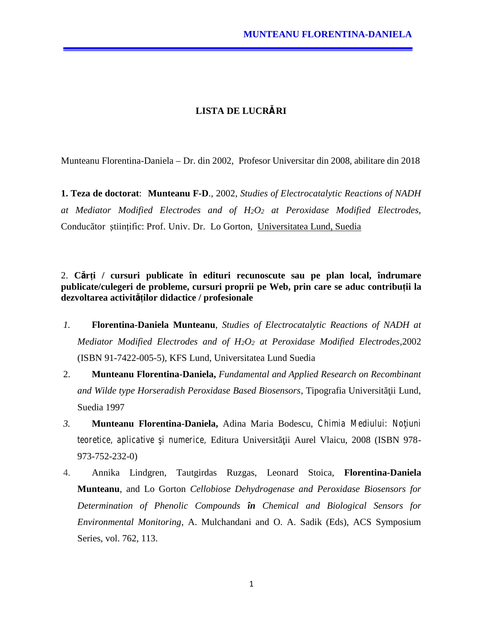## **LISTA DE LUCR RI**

Munteanu Florentina-Daniela – Dr. din 2002, Profesor Universitar din 2008, abilitare din 2018

**1. Teza de doctorat**: **Munteanu F-D**., 2002, *Studies of Electrocatalytic Reactions of NADH at Mediator Modified Electrodes and of H2O<sup>2</sup> at Peroxidase Modified Electrodes,* Conduc tor tiințific: Prof. Univ. Dr. Lo Gorton, Universitatea Lund, Suedia

2. **C rți / cursuri publicate în edituri recunoscute sau pe plan local, îndrumare publicate/culegeri de probleme, cursuri proprii pe Web, prin care se aduc contribuții la dezvoltarea activit ților didactice / profesionale**

- *1.* **Florentina-Daniela Munteanu**, *Studies of Electrocatalytic Reactions of NADH at Mediator Modified Electrodes and of H2O<sup>2</sup> at Peroxidase Modified Electrodes,*2002 (ISBN 91-7422-005-5), KFS Lund*,* Universitatea Lund Suedia
- 2. **Munteanu Florentina-Daniela,** *Fundamental and Applied Research on Recombinant* and Wilde type Horseradish Peroxidase Based Biosensors, Tipografia Universit ii Lund, Suedia 1997
- *3.* **Munteanu Florentina-Daniela,** Adina Maria Bodescu, *Chimia Mediului: Noţiuni teoretice, aplicative i numerice,* Editura Universit ii Aurel Vlaicu, 2008 (ISBN 978-973-752-232-0)
- 4. Annika Lindgren, Tautgirdas Ruzgas, Leonard Stoica, **Florentina-Daniela Munteanu**, and Lo Gorton *Cellobiose Dehydrogenase and Peroxidase Biosensors for Determination of Phenolic Compounds în Chemical and Biological Sensors for Environmental Monitoring*, A. Mulchandani and O. A. Sadik (Eds), ACS Symposium Series, vol. 762, 113.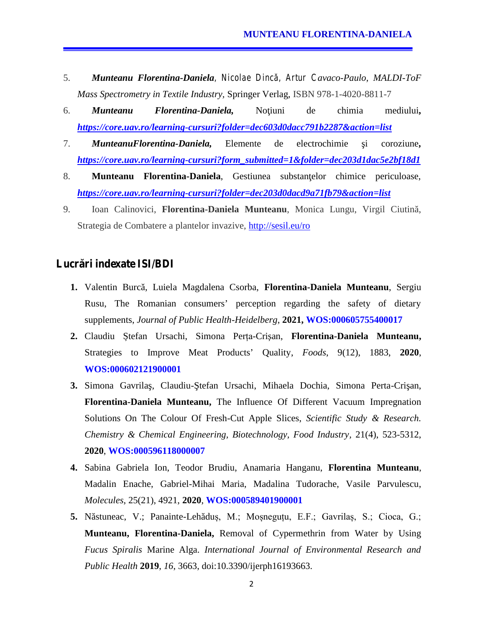- 5. *Munteanu Florentina-Daniela, Nicolae Dincă, Artur Cavaco-Paulo, MALDI-ToF Mass Spectrometry in Textile Industry,* Springer Verlag, ISBN 978-1-4020-8811-7
- 6. *Munteanu Florentina-Daniela,* Noţiuni de chimia mediului*, https://core.uav.ro/learning-cursuri?folder=dec603d0dacc791b2287&action=list*
- 7. **MunteanuFlorentina-Daniela,** Elemente de electrochimie i coroziune, *https://core.uav.ro/learning-cursuri?form\_submitted=1&folder=dec203d1dac5e2bf18d1*
- 8. **Munteanu Florentina-Daniela**, Gestiunea substan-elor chimice periculoase, *https://core.uav.ro/learning-cursuri?folder=dec203d0dacd9a71fb79&action=list*
- 9. Ioan Calinovici, **Florentina-Daniela Munteanu**, Monica Lungu, Virgil Ciutin, Strategia de Combatere a plantelor invazive, http://sesil.eu/ro

## **Lucr** ri indexate **ISI/BDI**

- 1. Valentin Burc, Luiela Magdalena Csorba, Florentina-Daniela Munteanu, Sergiu Rusu, The Romanian consumers' perception regarding the safety of dietary supplements, *Journal of Public Health-Heidelberg*, **2021, WOS:000605755400017**
- 2. Claudiu tefan Ursachi, Simona Perța-Cri an, Florentina-Daniela Munteanu, Strategies to Improve Meat Products' Quality, *Foods*, 9(12), 1883, **2020**, **WOS:000602121900001**
- 3. Simona Gavrila, Claudiu- tefan Ursachi, Mihaela Dochia, Simona Perta-Cri an, **Florentina-Daniela Munteanu,** The Influence Of Different Vacuum Impregnation Solutions On The Colour Of Fresh-Cut Apple Slices, *Scientific Study & Research. Chemistry & Chemical Engineering, Biotechnology, Food Industry,* 21(4), 523-5312, **2020**, **WOS:000596118000007**
- **4.** Sabina Gabriela Ion, Teodor Brudiu, Anamaria Hanganu, **Florentina Munteanu**, Madalin Enache, Gabriel-Mihai Maria, Madalina Tudorache, Vasile Parvulescu, *Molecules*, 25(21), 4921, **2020**, **WOS:000589401900001**
- **5.** N stuneac, V.; Panainte-Leh duș, M.; Moșneguțu, E.F.; Gavrilaș, S.; Cioca, G.; **Munteanu, Florentina-Daniela,** Removal of Cypermethrin from Water by Using *Fucus Spiralis* Marine Alga. *International Journal of Environmental Research and Public Health* **2019**, *16*, 3663, doi:10.3390/ijerph16193663.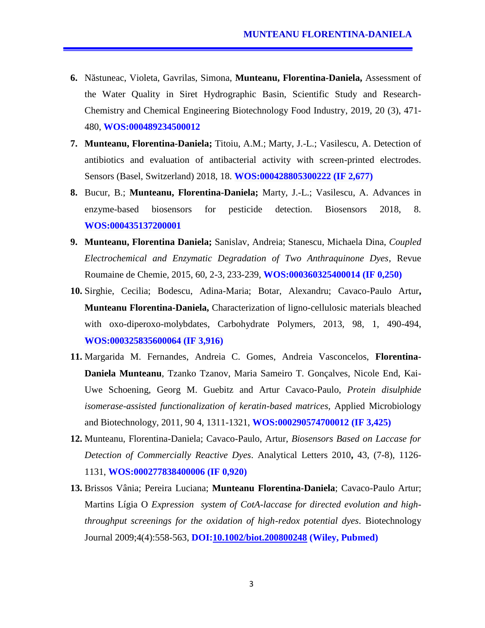- **6.** N stuneac, Violeta, Gavrilas, Simona, **Munteanu, Florentina-Daniela,** Assessment of the Water Quality in Siret Hydrographic Basin, Scientific Study and Research- Chemistry and Chemical Engineering Biotechnology Food Industry, 2019, 20 (3), 471- 480, **WOS:000489234500012**
- **7. Munteanu, Florentina-Daniela;** Titoiu, A.M.; Marty, J.-L.; Vasilescu, A. Detection of antibiotics and evaluation of antibacterial activity with screen-printed electrodes. Sensors (Basel, Switzerland) 2018, 18. **WOS:000428805300222 (IF 2,677)**
- **8.** Bucur, B.; **Munteanu, Florentina-Daniela;** Marty, J.-L.; Vasilescu, A. Advances in enzyme-based biosensors for pesticide detection. Biosensors 2018, 8. **WOS:000435137200001**
- **9. Munteanu, Florentina Daniela;** Sanislav, Andreia; Stanescu, Michaela Dina, *Coupled Electrochemical and Enzymatic Degradation of Two Anthraquinone Dyes*, Revue Roumaine de Chemie, 2015, 60, 2-3, 233-239, **WOS:000360325400014 (IF 0,250)**
- **10.** Sirghie, Cecilia; Bodescu, Adina-Maria; Botar, Alexandru; Cavaco-Paulo Artur**, Munteanu Florentina-Daniela,** Characterization of ligno-cellulosic materials bleached with oxo-diperoxo-molybdates, Carbohydrate Polymers, 2013, 98, 1, 490-494, **WOS:000325835600064 (IF 3,916)**
- **11.** Margarida M. Fernandes, Andreia C. Gomes, Andreia Vasconcelos, **Florentina- Daniela Munteanu**, Tzanko Tzanov, Maria Sameiro T. Gonçalves, Nicole End, Kai- Uwe Schoening, Georg M. Guebitz and Artur Cavaco-Paulo, *Protein disulphide isomerase-assisted functionalization of keratin-based matrices*, Applied Microbiology and Biotechnology, 2011, 90 4, 1311-1321, **WOS:000290574700012 (IF 3,425)**
- **12.** Munteanu, Florentina-Daniela; Cavaco-Paulo, Artur, *Biosensors Based on Laccase for Detection of Commercially Reactive Dyes*. Analytical Letters 2010**,** 43, (7-8), 1126- 1131, **WOS:000277838400006 (IF 0,920)**
- **13.** Brissos Vânia; Pereira Luciana; **Munteanu Florentina-Daniela**; Cavaco-Paulo Artur; Martins Lígia O *Expression system of CotA-laccase for directed evolution and highthroughput screenings for the oxidation of high-redox potential dyes*. Biotechnology Journal 2009;4(4):558-563, **DOI:10.1002/biot.200800248 (Wiley, Pubmed)**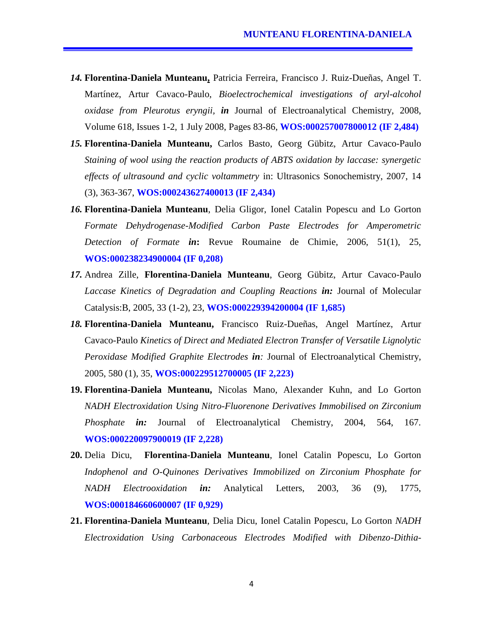- *14.* **Florentina-Daniela Munteanu,** Patricia Ferreira, Francisco J. Ruiz-Dueñas, Angel T. Martínez, Artur Cavaco-Paulo, *Bioelectrochemical investigations of aryl-alcohol oxidase from Pleurotus eryngii, in* Journal of Electroanalytical Chemistry, 2008, Volume 618, Issues 1-2, 1 July 2008, Pages 83-86, **WOS:000257007800012 (IF 2,484)**
- *15.* **Florentina-Daniela Munteanu,** Carlos Basto, Georg Gübitz, Artur Cavaco-Paulo *Staining of wool using the reaction products of ABTS oxidation by laccase: synergetic effects of ultrasound and cyclic voltammetry* in: Ultrasonics Sonochemistry, 2007, 14 (3), 363-367, **WOS:000243627400013 (IF 2,434)**
- *16.* **Florentina-Daniela Munteanu**, Delia Gligor, Ionel Catalin Popescu and Lo Gorton *Formate Dehydrogenase-Modified Carbon Paste Electrodes for Amperometric Detection of Formate in***:** Revue Roumaine de Chimie, 2006, 51(1), 25, **WOS:000238234900004 (IF 0,208)**
- *17.* Andrea Zille, **Florentina-Daniela Munteanu**, Georg Gübitz, Artur Cavaco-Paulo *Laccase Kinetics of Degradation and Coupling Reactions in:* Journal of Molecular Catalysis:B, 2005, 33 (1-2), 23, **WOS:000229394200004 (IF 1,685)**
- *18.* **Florentina-Daniela Munteanu,** Francisco Ruiz-Dueñas, Angel Martínez, Artur Cavaco-Paulo *Kinetics of Direct and Mediated Electron Transfer of Versatile Lignolytic Peroxidase Modified Graphite Electrodes in:* Journal of Electroanalytical Chemistry, 2005, 580 (1), 35, **WOS:000229512700005 (IF 2,223)**
- **19. Florentina-Daniela Munteanu,** Nicolas Mano, Alexander Kuhn, and Lo Gorton *NADH Electroxidation Using Nitro-Fluorenone Derivatives Immobilised on Zirconium Phosphate in:* Journal of Electroanalytical Chemistry, 2004, 564, 167. **WOS:000220097900019 (IF 2,228)**
- **20.** Delia Dicu, **Florentina-Daniela Munteanu**, Ionel Catalin Popescu, Lo Gorton *Indophenol and O-Quinones Derivatives Immobilized on Zirconium Phosphate for NADH Electrooxidation in:* Analytical Letters, 2003, 36 (9), 1775, **WOS:000184660600007 (IF 0,929)**
- **21. Florentina-Daniela Munteanu**, Delia Dicu, Ionel Catalin Popescu, Lo Gorton *NADH Electroxidation Using Carbonaceous Electrodes Modified with Dibenzo-Dithia-*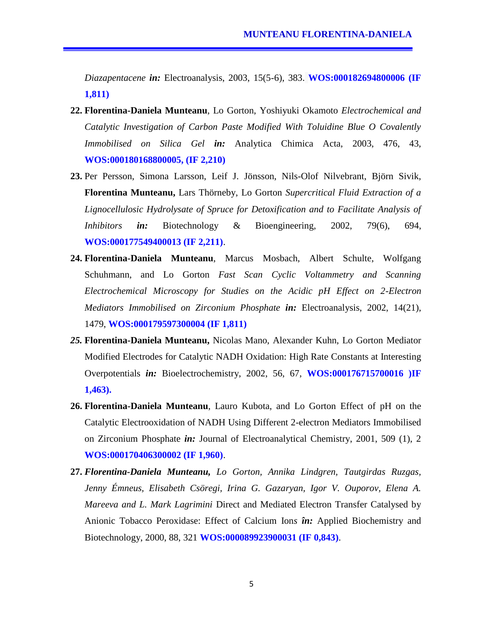*Diazapentacene in:* Electroanalysis, 2003, 15(5-6), 383. **WOS:000182694800006 (IF 1,811)**

- **22. Florentina-Daniela Munteanu**, Lo Gorton, Yoshiyuki Okamoto *Electrochemical and Catalytic Investigation of Carbon Paste Modified With Toluidine Blue O Covalently Immobilised on Silica Gel in:* Analytica Chimica Acta, 2003, 476, 43, **WOS:000180168800005, (IF 2,210)**
- **23.** Per Persson, Simona Larsson, Leif J. Jönsson, Nils-Olof Nilvebrant, Björn Sivik, **Florentina Munteanu,** Lars Thörneby, Lo Gorton *Supercritical Fluid Extraction of a Lignocellulosic Hydrolysate of Spruce for Detoxification and to Facilitate Analysis of Inhibitors in:* Biotechnology & Bioengineering, 2002, 79(6), 694, **WOS:000177549400013 (IF 2,211)**.
- **24. Florentina-Daniela Munteanu**, Marcus Mosbach, Albert Schulte, Wolfgang Schuhmann, and Lo Gorton *Fast Scan Cyclic Voltammetry and Scanning Electrochemical Microscopy for Studies on the Acidic pH Effect on 2-Electron Mediators Immobilised on Zirconium Phosphate in:* Electroanalysis, 2002, 14(21), 1479, **WOS:000179597300004 (IF 1,811)**
- *25.* **Florentina-Daniela Munteanu,** Nicolas Mano, Alexander Kuhn, Lo Gorton Mediator Modified Electrodes for Catalytic NADH Oxidation: High Rate Constants at Interesting Overpotentials *in:* Bioelectrochemistry, 2002, 56, 67, **WOS:000176715700016 )IF 1,463).**
- **26. Florentina-Daniela Munteanu**, Lauro Kubota, and Lo Gorton Effect of pH on the Catalytic Electrooxidation of NADH Using Different 2-electron Mediators Immobilised on Zirconium Phosphate *in:* Journal of Electroanalytical Chemistry, 2001, 509 (1), 2 **WOS:000170406300002 (IF 1,960)**.
- **27.** *Florentina-Daniela Munteanu, Lo Gorton, Annika Lindgren, Tautgirdas Ruzgas, Jenny Émneus, Elisabeth Csöregi, Irina G. Gazaryan, Igor V. Ouporov, Elena A. Mareeva and L. Mark Lagrimini* Direct and Mediated Electron Transfer Catalysed by Anionic Tobacco Peroxidase: Effect of Calcium Ion*s în:* Applied Biochemistry and Biotechnology, 2000, 88, 321 **WOS:000089923900031 (IF 0,843)**.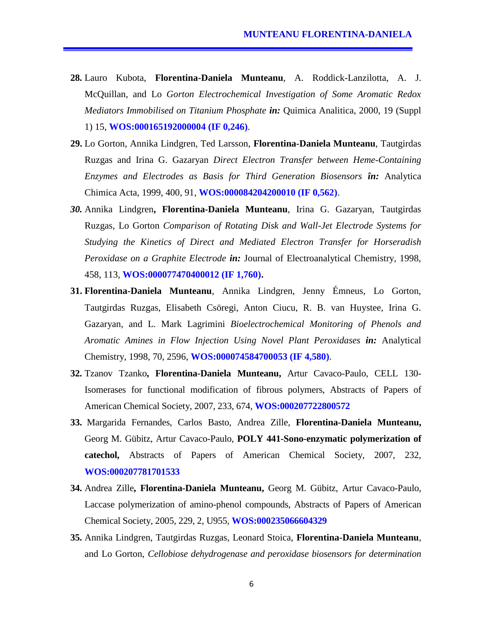- **28.** Lauro Kubota, **Florentina-Daniela Munteanu**, A. Roddick-Lanzilotta, A. J. McQuillan, and Lo *Gorton Electrochemical Investigation of Some Aromatic Redox Mediators Immobilised on Titanium Phosphate in:* Quimica Analitica, 2000, 19 (Suppl 1) 15, **WOS:000165192000004 (IF 0,246)**.
- **29.** Lo Gorton, Annika Lindgren, Ted Larsson, **Florentina-Daniela Munteanu**, Tautgirdas Ruzgas and Irina G. Gazaryan *Direct Electron Transfer between Heme-Containing Enzymes and Electrodes as Basis for Third Generation Biosensors în:* Analytica Chimica Acta, 1999, 400, 91, **WOS:000084204200010 (IF 0,562)**.
- *30.* Annika Lindgren**, Florentina-Daniela Munteanu**, Irina G. Gazaryan, Tautgirdas Ruzgas, Lo Gorton *Comparison of Rotating Disk and Wall-Jet Electrode Systems for Studying the Kinetics of Direct and Mediated Electron Transfer for Horseradish Peroxidase on a Graphite Electrode in:* Journal of Electroanalytical Chemistry, 1998, 458, 113, **WOS:000077470400012 (IF 1,760).**
- **31. Florentina-Daniela Munteanu**, Annika Lindgren, Jenny Émneus, Lo Gorton, Tautgirdas Ruzgas, Elisabeth Csöregi, Anton Ciucu, R. B. van Huystee, Irina G. Gazaryan, and L. Mark Lagrimini *Bioelectrochemical Monitoring of Phenols and Aromatic Amines in Flow Injection Using Novel Plant Peroxidases in:* Analytical Chemistry, 1998, 70, 2596, **WOS:000074584700053 (IF 4,580)**.
- **32.** Tzanov Tzanko**, Florentina-Daniela Munteanu,** Artur Cavaco-Paulo, CELL 130- Isomerases for functional modification of fibrous polymers, Abstracts of Papers of American Chemical Society, 2007, 233, 674, **WOS:000207722800572**
- **33.** Margarida Fernandes, Carlos Basto, Andrea Zille, **Florentina-Daniela Munteanu,** Georg M. Gübitz, Artur Cavaco-Paulo, **POLY 441-Sono-enzymatic polymerization of catechol,** Abstracts of Papers of American Chemical Society, 2007, 232, **WOS:000207781701533**
- **34.** Andrea Zille**, Florentina-Daniela Munteanu,** Georg M. Gübitz, Artur Cavaco-Paulo, Laccase polymerization of amino-phenol compounds, Abstracts of Papers of American Chemical Society, 2005, 229, 2, U955, **WOS:000235066604329**
- **35.** Annika Lindgren, Tautgirdas Ruzgas, Leonard Stoica, **Florentina-Daniela Munteanu**, and Lo Gorton, *Cellobiose dehydrogenase and peroxidase biosensors for determination*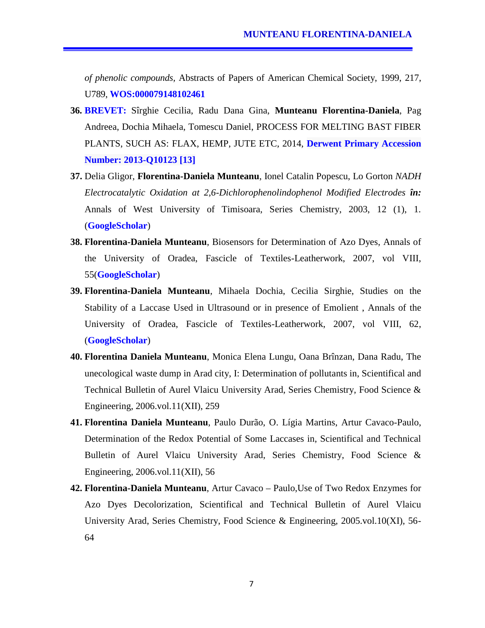*of phenolic compounds,* Abstracts of Papers of American Chemical Society, 1999, 217, U789, **WOS:000079148102461**

- **36. BREVET:** Sîrghie Cecilia, Radu Dana Gina, **Munteanu Florentina-Daniela**, Pag Andreea, Dochia Mihaela, Tomescu Daniel, PROCESS FOR MELTING BAST FIBER PLANTS, SUCH AS: FLAX, HEMP, JUTE ETC, 2014, **Derwent Primary Accession Number: 2013-Q10123 [13]**
- **37.** Delia Gligor, **Florentina-Daniela Munteanu**, Ionel Catalin Popescu, Lo Gorton *NADH Electrocatalytic Oxidation at 2,6-Dichlorophenolindophenol Modified Electrodes în:* Annals of West University of Timisoara, Series Chemistry, 2003, 12 (1), 1. (**GoogleScholar**)
- **38. Florentina-Daniela Munteanu**, Biosensors for Determination of Azo Dyes, Annals of the University of Oradea, Fascicle of Textiles-Leatherwork, 2007, vol VIII, 55(**GoogleScholar**)
- **39. Florentina-Daniela Munteanu**, Mihaela Dochia, Cecilia Sirghie, Studies on the Stability of a Laccase Used in Ultrasound or in presence of Emolient , Annals of the University of Oradea, Fascicle of Textiles-Leatherwork, 2007, vol VIII, 62, (**GoogleScholar**)
- **40. Florentina Daniela Munteanu**, Monica Elena Lungu, Oana Brînzan, Dana Radu, The unecological waste dump in Arad city, I: Determination of pollutants in, Scientifical and Technical Bulletin of Aurel Vlaicu University Arad, Series Chemistry, Food Science & Engineering, 2006.vol.11(XII), 259
- **41. Florentina Daniela Munteanu**, Paulo Durão, O. Lígia Martins, Artur Cavaco-Paulo, Determination of the Redox Potential of Some Laccases in, Scientifical and Technical Bulletin of Aurel Vlaicu University Arad, Series Chemistry, Food Science & Engineering, 2006.vol.11(XII), 56
- **42. Florentina-Daniela Munteanu**, Artur Cavaco Paulo,Use of Two Redox Enzymes for Azo Dyes Decolorization, Scientifical and Technical Bulletin of Aurel Vlaicu University Arad, Series Chemistry, Food Science & Engineering, 2005.vol.10(XI), 56- 64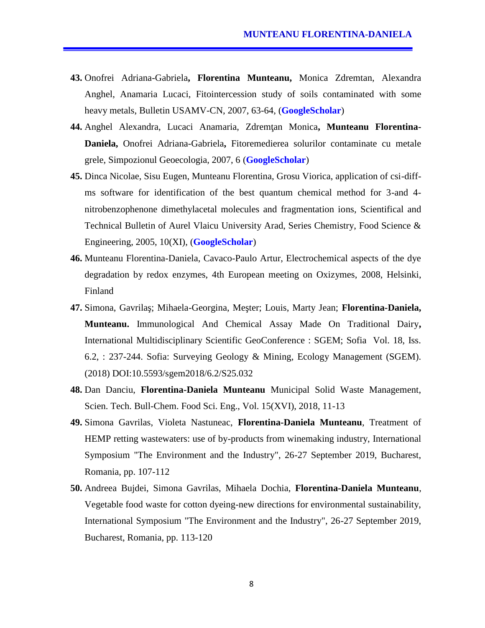- **43.** Onofrei Adriana-Gabriela**, Florentina Munteanu,** Monica Zdremtan, Alexandra Anghel, Anamaria Lucaci, Fitointercession study of soils contaminated with some heavy metals, Bulletin USAMV-CN, 2007, 63-64, (**GoogleScholar**)
- 44. Anghel Alexandra, Lucaci Anamaria, Zdrem an Monica, Munteanu Florentina-**Daniela,** Onofrei Adriana-Gabriela**,** Fitoremedierea solurilor contaminate cu metale grele, Simpozionul Geoecologia, 2007, 6 (**GoogleScholar**)
- **45.** Dinca Nicolae, Sisu Eugen, Munteanu Florentina, Grosu Viorica, application of csi-diff ms software for identification of the best quantum chemical method for 3-and 4 nitrobenzophenone dimethylacetal molecules and fragmentation ions, Scientifical and Technical Bulletin of Aurel Vlaicu University Arad, Series Chemistry, Food Science & Engineering, 2005, 10(XI), (**GoogleScholar**)
- **46.** Munteanu Florentina-Daniela, Cavaco-Paulo Artur, Electrochemical aspects of the dye degradation by redox enzymes, 4th European meeting on Oxizymes, 2008, Helsinki, Finland
- 47. Simona, Gavrila; Mihaela-Georgina, Me ter; Louis, Marty Jean; Florentina-Daniela, **Munteanu.** Immunological And Chemical Assay Made On Traditional Dairy**,** International Multidisciplinary Scientific GeoConference : SGEM; Sofia Vol. 18, Iss. 6.2, : 237-244. Sofia: Surveying Geology & Mining, Ecology Management (SGEM). (2018) DOI:10.5593/sgem2018/6.2/S25.032
- **48.** Dan Danciu, **Florentina-Daniela Munteanu** Municipal Solid Waste Management, Scien. Tech. Bull-Chem. Food Sci. Eng., Vol. 15(XVI), 2018, 11-13
- **49.** Simona Gavrilas, Violeta Nastuneac, **Florentina-Daniela Munteanu**, Treatment of HEMP retting wastewaters: use of by-products from winemaking industry, International Symposium "The Environment and the Industry", 26-27 September 2019, Bucharest, Romania, pp. 107-112
- **50.** Andreea Bujdei, Simona Gavrilas, Mihaela Dochia, **Florentina-Daniela Munteanu**, Vegetable food waste for cotton dyeing-new directions for environmental sustainability, International Symposium "The Environment and the Industry", 26-27 September 2019, Bucharest, Romania, pp. 113-120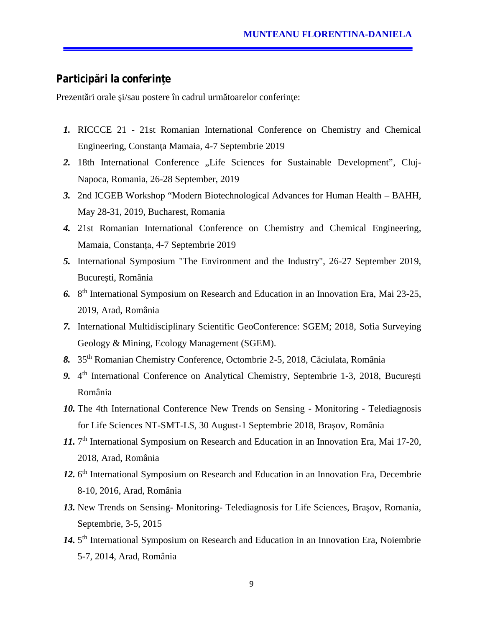# **Particip** ri la conferin e

Prezent ri orale *i/sau postere în cadrul urm* toarelor conferin e:

- *1.* RICCCE 21 21st Romanian International Conference on Chemistry and Chemical Engineering, Constan a Mamaia, 4-7 Septembrie 2019
- 2. 18th International Conference "Life Sciences for Sustainable Development", Cluj-Napoca, Romania, 26-28 September, 2019
- *3.* 2nd ICGEB Workshop "Modern Biotechnological Advances for Human Health BAHH, May 28-31, 2019, Bucharest, Romania
- *4.* 21st Romanian International Conference on Chemistry and Chemical Engineering, Mamaia, Constanța, 4-7 Septembrie 2019
- *5.* International Symposium "The Environment and the Industry", 26-27 September 2019, Bucure ți, România
- *6.* 8 th International Symposium on Research and Education in an Innovation Era, Mai 23-25, 2019, Arad, România
- *7.* International Multidisciplinary Scientific GeoConference: SGEM; 2018, Sofia Surveying Geology & Mining, Ecology Management (SGEM).
- 8. 35<sup>th</sup> Romanian Chemistry Conference, Octombrie 2-5, 2018, C ciulata, România
- 9. 4<sup>th</sup> International Conference on Analytical Chemistry, Septembrie 1-3, 2018, Bucure ti România
- *10.* The 4th International Conference New Trends on Sensing Monitoring Telediagnosis for Life Sciences NT-SMT-LS, 30 August-1 Septembrie 2018, Brașov, România
- 11. 7<sup>th</sup> International Symposium on Research and Education in an Innovation Era, Mai 17-20, 2018, Arad, România
- 12. 6<sup>th</sup> International Symposium on Research and Education in an Innovation Era, Decembrie 8-10, 2016, Arad, România
- *13.* New Trends on Sensing- Monitoring- Telediagnosis for Life Sciences, Bra ov, Romania, Septembrie, 3-5, 2015
- 14. 5<sup>th</sup> International Symposium on Research and Education in an Innovation Era, Noiembrie 5-7, 2014, Arad, România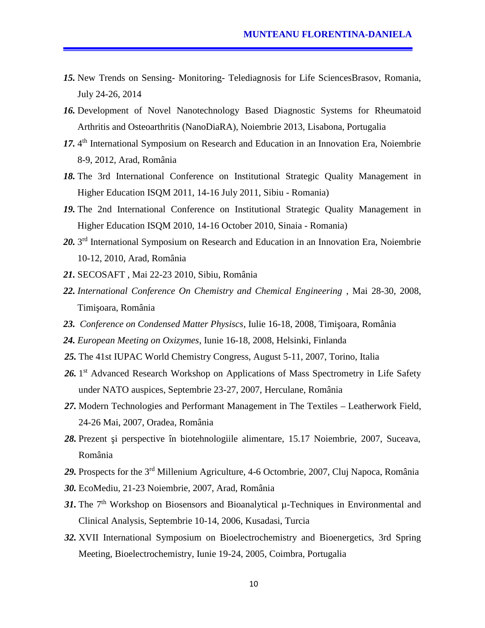- *15.* New Trends on Sensing- Monitoring- Telediagnosis for Life SciencesBrasov, Romania, July 24-26, 2014
- *16.* Development of Novel Nanotechnology Based Diagnostic Systems for Rheumatoid Arthritis and Osteoarthritis (NanoDiaRA), Noiembrie 2013, Lisabona, Portugalia
- 17. 4<sup>th</sup> International Symposium on Research and Education in an Innovation Era, Noiembrie 8-9, 2012, Arad, România
- *18.* The 3rd International Conference on Institutional Strategic Quality Management in Higher Education ISQM 2011, 14-16 July 2011, Sibiu - Romania)
- *19.* The 2nd International Conference on Institutional Strategic Quality Management in Higher Education ISQM 2010, 14-16 October 2010, Sinaia - Romania)
- *20.* 3 rd International Symposium on Research and Education in an Innovation Era, Noiembrie 10-12, 2010, Arad, România
- *21.* SECOSAFT , Mai 22-23 2010, Sibiu, România
- *22. International Conference On Chemistry and Chemical Engineering* , Mai 28-30, 2008, Timi oara, România
- 23. *Conference on Condensed Matter Physiscs*, Iulie 16-18, 2008, Timi oara, România
- *24. European Meeting on Oxizymes*, Iunie 16-18, 2008, Helsinki, Finlanda
- *25.* The 41st IUPAC World Chemistry Congress, August 5-11, 2007, Torino, Italia
- 26. 1<sup>st</sup> Advanced Research Workshop on Applications of Mass Spectrometry in Life Safety under NATO auspices, Septembrie 23-27, 2007, Herculane, România
- *27.* Modern Technologies and Performant Management in The Textiles Leatherwork Field, 24-26 Mai, 2007, Oradea, România
- 28. Prezent *i* perspective în biotehnologiile alimentare, 15.17 Noiembrie, 2007, Suceava, România
- *29.* Prospects for the 3rd Millenium Agriculture, 4-6 Octombrie, 2007, Cluj Napoca, România
- *30.* EcoMediu, 21-23 Noiembrie, 2007, Arad, România
- 31. The  $7<sup>th</sup>$  Workshop on Biosensors and Bioanalytical  $\mu$ -Techniques in Environmental and Clinical Analysis, Septembrie 10-14, 2006, Kusadasi, Turcia
- *32.* XVII International Symposium on Bioelectrochemistry and Bioenergetics, 3rd Spring Meeting, Bioelectrochemistry, Iunie 19-24, 2005, Coimbra, Portugalia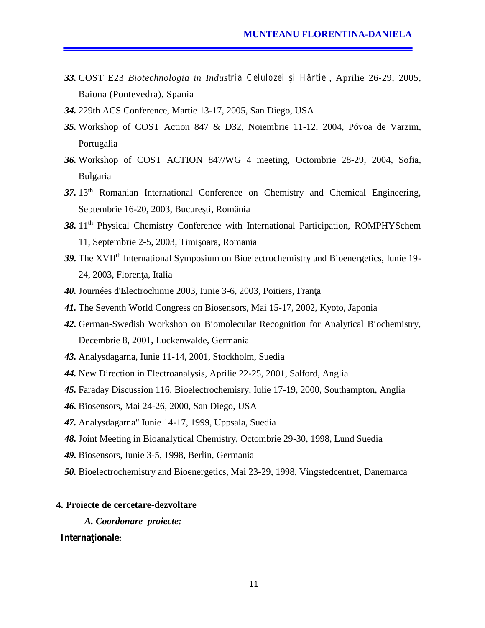- *33.* COST E23 *Biotechnologia in Industria Celulozei şi Hârtiei*, Aprilie 26-29, 2005, Baiona (Pontevedra), Spania
- *34.* 229th ACS Conference, Martie 13-17, 2005, San Diego, USA
- *35.* Workshop of COST Action 847 & D32, Noiembrie 11-12, 2004, Póvoa de Varzim, Portugalia
- *36.* Workshop of COST ACTION 847/WG 4 meeting, Octombrie 28-29, 2004, Sofia, Bulgaria
- 37. 13<sup>th</sup> Romanian International Conference on Chemistry and Chemical Engineering, Septembrie 16-20, 2003, Bucure ti, România
- 38. 11<sup>th</sup> Physical Chemistry Conference with International Participation, ROMPHYSchem 11, Septembrie 2-5, 2003, Timişoara, Romania
- 39. The XVII<sup>th</sup> International Symposium on Bioelectrochemistry and Bioenergetics, Iunie 19-24, 2003, Floren a, Italia
- 40. Journées d'Electrochimie 2003, Iunie 3-6, 2003, Poitiers, Fran a
- *41.* The Seventh World Congress on Biosensors, Mai 15-17, 2002, Kyoto, Japonia
- *42.* German-Swedish Workshop on Biomolecular Recognition for Analytical Biochemistry, Decembrie 8, 2001, Luckenwalde, Germania
- *43.* Analysdagarna, Iunie 11-14, 2001, Stockholm, Suedia
- *44.* New Direction in Electroanalysis, Aprilie 22-25, 2001, Salford, Anglia
- *45.* Faraday Discussion 116, Bioelectrochemisry, Iulie 17-19, 2000, Southampton, Anglia
- *46.* Biosensors, Mai 24-26, 2000, San Diego, USA
- *47.* Analysdagarna" Iunie 14-17, 1999, Uppsala, Suedia
- *48.* Joint Meeting in Bioanalytical Chemistry, Octombrie 29-30, 1998, Lund Suedia
- *49.* Biosensors, Iunie 3-5, 1998, Berlin, Germania
- *50.* Bioelectrochemistry and Bioenergetics, Mai 23-29, 1998, Vingstedcentret, Danemarca

#### **4. Proiecte de cercetare-dezvoltare**

*A. Coordonare proiecte:*

#### Interna ionale: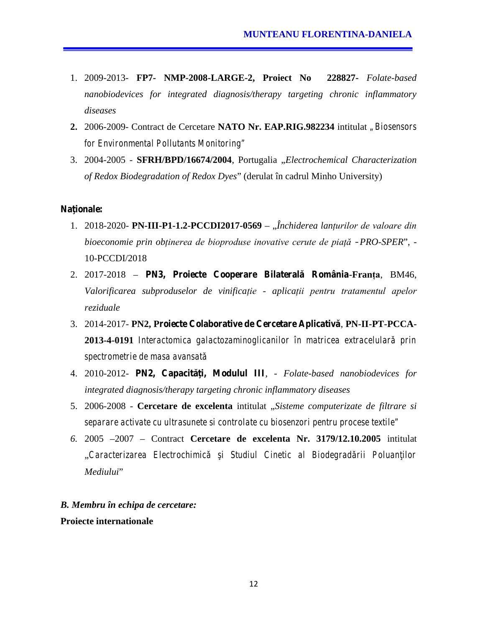- 1. 2009-2013- **FP7- NMP-2008-LARGE-2, Proiect No 228827-** *Folate-based nanobiodevices for integrated diagnosis/therapy targeting chronic inflammatory diseases*
- **2.** 2006-2009- Contract de Cercetare **NATO Nr. EAP.RIG.982234** intitulat *"Biosensors for Environmental Pollutants Monitoring"*
- 3. 2004-2005 **SFRH/BPD/16674/2004**, Portugalia "*Electrochemical Characterization of Redox Biodegradation of Redox Dyes*" (derulat în cadrul Minho University)

### Na ionale:

- 1. 2018-2020- **PN-III-P1-1.2-PCCDI2017-0569** "*Închiderea lanțurilor de valoare din bioeconomie prin obținerea de bioproduse inovative cerute de piață –PRO-SPER*", - 10-PCCDI/2018
- 2. 2017-2018 **PN3, Proiecte Cooperare Bilaterală România-Franța**, BM46, *Valorificarea subproduselor de vinificație - aplicații pentru tratamentul apelor reziduale*
- 3. 2014-2017- **PN2, Proiecte Colaborative de Cercetare Aplicativă**, **PN-II-PT-PCCA- 2013-4-0191** *Interactomica galactozaminoglicanilor în matricea extracelulară prin spectrometrie de masa avansată*
- 4. 2010-2012- **PN2, Capacităţi, Modulul III**, *Folate-based nanobiodevices for integrated diagnosis/therapy targeting chronic inflammatory diseases*
- 5. 2006-2008 **Cercetare de excelenta** intitulat "*Sisteme computerizate de filtrare si separare activate cu ultrasunete si controlate cu biosenzori pentru procese textile"*
- *6.* 2005 –2007 Contract **Cercetare de excelenta Nr. 3179/12.10.2005** intitulat "*Caracterizarea Electrochimică şi Studiul Cinetic al Biodegradării Poluanţilor Mediului*"

*B. Membru în echipa de cercetare:* **Proiecte internationale**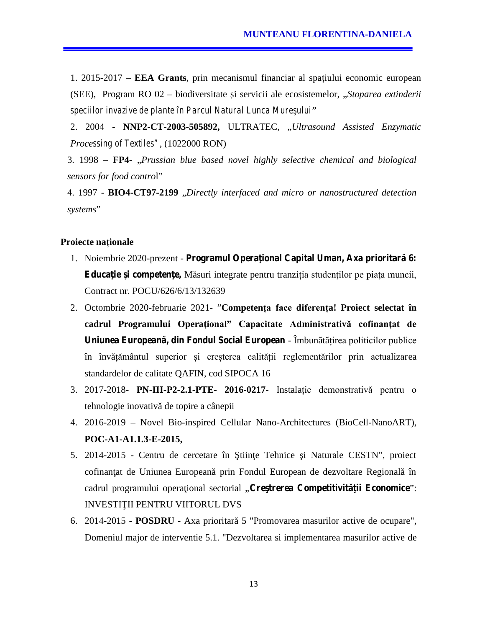1. 2015-2017 – **EEA Grants**, prin mecanismul financiar al spațiului economic european (SEE), Program RO 02 – biodiversitate și servicii ale ecosistemelor, "*Stoparea extinderii speciilor invazive de plante în Parcul Natural Lunca Mure ului*"

2. 2004 - **NNP2-CT-2003-505892,** ULTRATEC, "*Ultrasound Assisted Enzymatic Processing of Textiles"*, (1022000 RON)

3. 1998 – **FP4**- "*Prussian blue based novel highly selective chemical and biological sensors for food contro*l"

4. 1997 - **BIO4-CT97-2199** "*Directly interfaced and micro or nanostructured detection systems*"

## **Proiecte naționale**

- 1. Noiembrie 2020-prezent **Programul Opera ional Capital Uman, Axa prioritar** 6: **Educa ie i competen e,** M suri integrate pentru tranziția studenților pe piața muncii, Contract nr. POCU/626/6/13/132639
- 2. Octombrie 2020-februarie 2021- "**Competența face diferența! Proiect selectat în cadrul Programului Operațional" Capacitate Administrativă cofinanțat de Uniunea European, din Fondul Social European** - Îmbun t tirea politicilor publice în învățământul superior și creșterea calității reglementărilor prin actualizarea standardelor de calitate QAFIN, cod SIPOCA 16
- 3. 2017-2018- **PN-III-P2-2.1-PTE- 2016-0217** Instalație demonstrativă pentru o tehnologie inovativă de topire a cânepii
- 4. 2016-2019 Novel Bio-inspired Cellular Nano-Architectures (BioCell-NanoART), **POC-A1-A1.1.3-E-2015,**
- 5. 2014-2015 Centru de cercetare în tiin e Tehnice i Naturale CESTN", proiect cofinan at de Uniunea European prin Fondul European de dezvoltare Regional în cadrul programului opera ional sectorial "Cre trerea Competitivit ii Economice": INVESTI II PENTRU VIITORUL DVS
- 6. 2014-2015 **POSDRU** Axa prioritar 5 "Promovarea masurilor active de ocupare", Domeniul major de interventie 5.1. "Dezvoltarea si implementarea masurilor active de